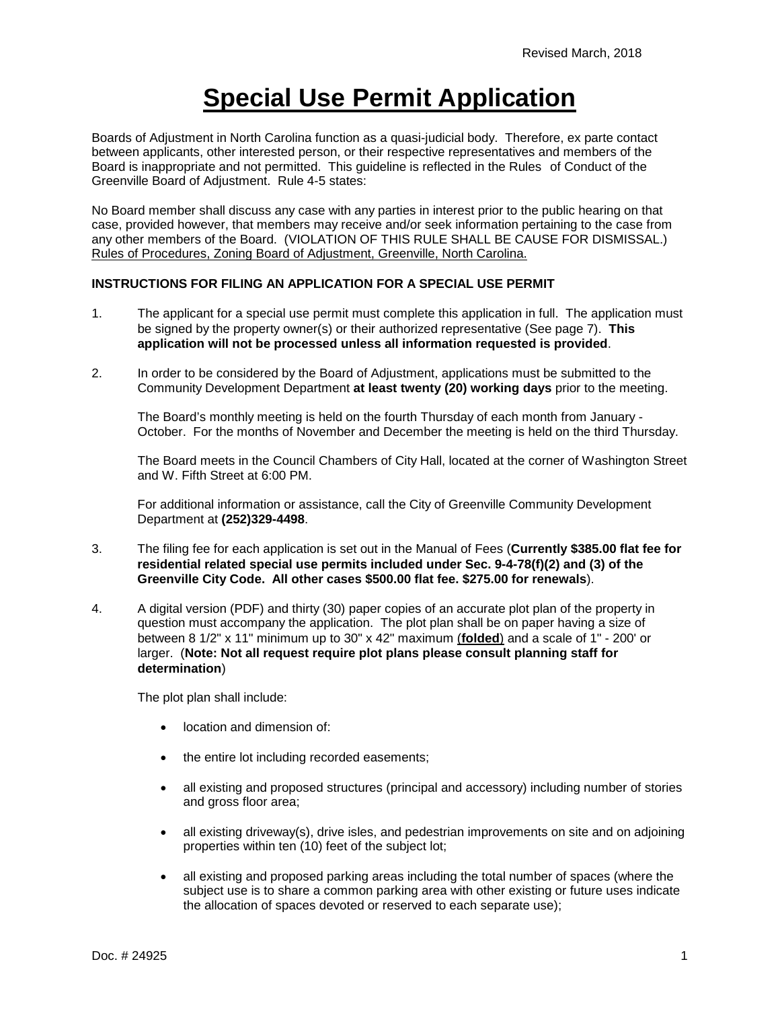## **Special Use Permit Application**

Boards of Adjustment in North Carolina function as a quasi-judicial body. Therefore, ex parte contact between applicants, other interested person, or their respective representatives and members of the Board is inappropriate and not permitted. This guideline is reflected in the Rules of Conduct of the Greenville Board of Adjustment. Rule 4-5 states:

No Board member shall discuss any case with any parties in interest prior to the public hearing on that case, provided however, that members may receive and/or seek information pertaining to the case from any other members of the Board. (VIOLATION OF THIS RULE SHALL BE CAUSE FOR DISMISSAL.) Rules of Procedures, Zoning Board of Adjustment, Greenville, North Carolina.

## **INSTRUCTIONS FOR FILING AN APPLICATION FOR A SPECIAL USE PERMIT**

- 1. The applicant for a special use permit must complete this application in full. The application must be signed by the property owner(s) or their authorized representative (See page 7). **This application will not be processed unless all information requested is provided**.
- 2. In order to be considered by the Board of Adjustment, applications must be submitted to the Community Development Department **at least twenty (20) working days** prior to the meeting.

The Board's monthly meeting is held on the fourth Thursday of each month from January - October. For the months of November and December the meeting is held on the third Thursday.

The Board meets in the Council Chambers of City Hall, located at the corner of Washington Street and W. Fifth Street at 6:00 PM.

For additional information or assistance, call the City of Greenville Community Development Department at **(252)329-4498**.

- 3. The filing fee for each application is set out in the Manual of Fees (**Currently \$385.00 flat fee for residential related special use permits included under Sec. 9-4-78(f)(2) and (3) of the Greenville City Code. All other cases \$500.00 flat fee. \$275.00 for renewals**).
- 4. A digital version (PDF) and thirty (30) paper copies of an accurate plot plan of the property in question must accompany the application. The plot plan shall be on paper having a size of between 8 1/2" x 11" minimum up to 30" x 42" maximum (**folded**) and a scale of 1" - 200' or larger. (**Note: Not all request require plot plans please consult planning staff for determination**)

The plot plan shall include:

- location and dimension of:
- the entire lot including recorded easements;
- all existing and proposed structures (principal and accessory) including number of stories and gross floor area;
- all existing driveway(s), drive isles, and pedestrian improvements on site and on adjoining properties within ten (10) feet of the subject lot;
- all existing and proposed parking areas including the total number of spaces (where the subject use is to share a common parking area with other existing or future uses indicate the allocation of spaces devoted or reserved to each separate use);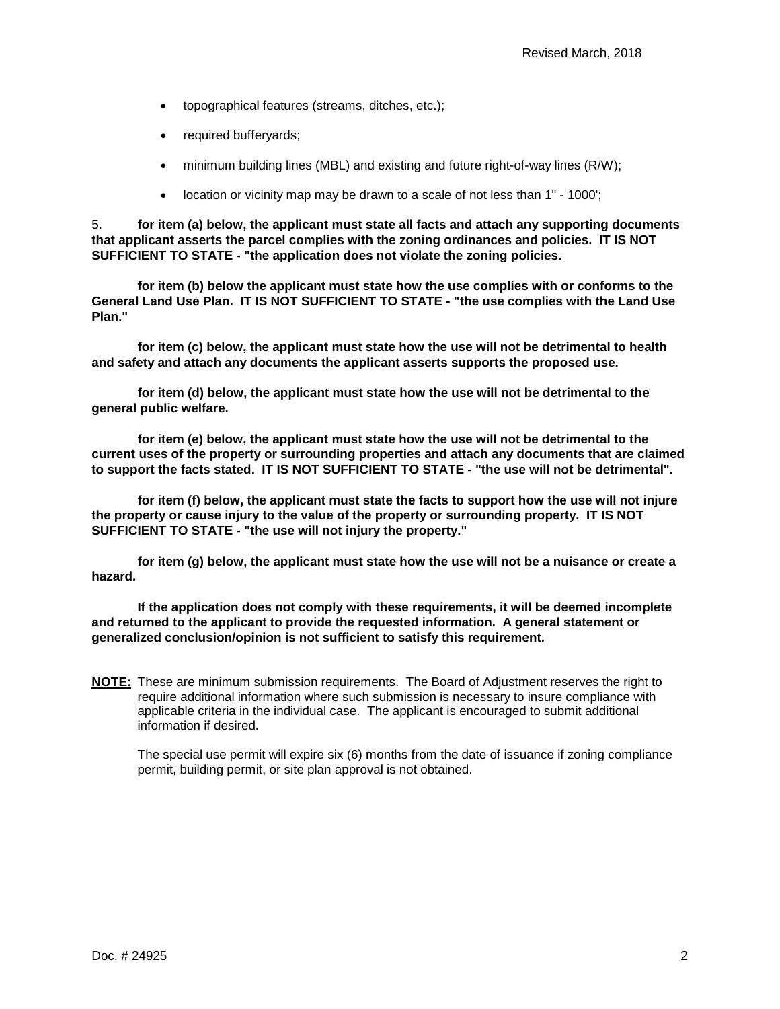- topographical features (streams, ditches, etc.);
- required bufferyards;
- minimum building lines (MBL) and existing and future right-of-way lines (R/W);
- location or vicinity map may be drawn to a scale of not less than 1" 1000';

5. **for item (a) below, the applicant must state all facts and attach any supporting documents that applicant asserts the parcel complies with the zoning ordinances and policies. IT IS NOT SUFFICIENT TO STATE - "the application does not violate the zoning policies.**

**for item (b) below the applicant must state how the use complies with or conforms to the General Land Use Plan. IT IS NOT SUFFICIENT TO STATE - "the use complies with the Land Use Plan."**

**for item (c) below, the applicant must state how the use will not be detrimental to health and safety and attach any documents the applicant asserts supports the proposed use.**

**for item (d) below, the applicant must state how the use will not be detrimental to the general public welfare.**

**for item (e) below, the applicant must state how the use will not be detrimental to the current uses of the property or surrounding properties and attach any documents that are claimed to support the facts stated. IT IS NOT SUFFICIENT TO STATE - "the use will not be detrimental".**

**for item (f) below, the applicant must state the facts to support how the use will not injure the property or cause injury to the value of the property or surrounding property. IT IS NOT SUFFICIENT TO STATE - "the use will not injury the property."**

**for item (g) below, the applicant must state how the use will not be a nuisance or create a hazard.**

**If the application does not comply with these requirements, it will be deemed incomplete and returned to the applicant to provide the requested information. A general statement or generalized conclusion/opinion is not sufficient to satisfy this requirement.** 

**NOTE:** These are minimum submission requirements. The Board of Adjustment reserves the right to require additional information where such submission is necessary to insure compliance with applicable criteria in the individual case. The applicant is encouraged to submit additional information if desired.

The special use permit will expire six (6) months from the date of issuance if zoning compliance permit, building permit, or site plan approval is not obtained.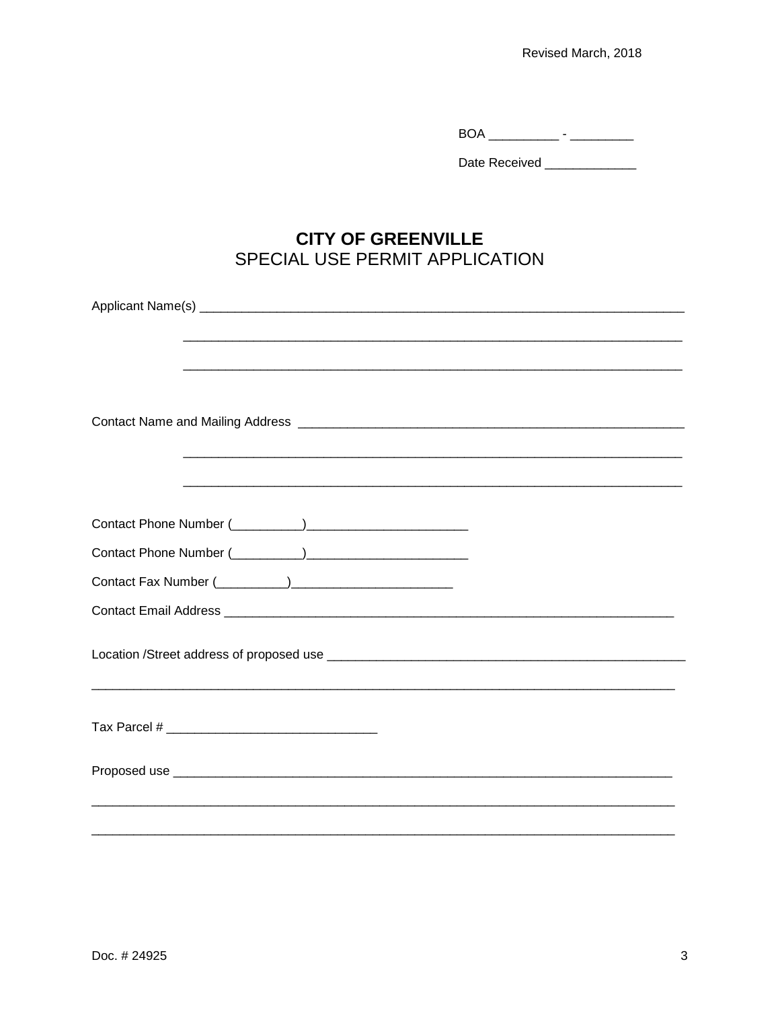$\begin{tabular}{c} BOA \ \underline{\hspace{1cm}} \hspace{1cm} \end{tabular} \begin{tabular}{c} \includegraphics[width=0.35\textwidth]{figs/1} \end{tabular} \begin{tabular}{c} \includegraphics[width=0.35\textwidth]{figs/1} \end{tabular} \begin{tabular}{c} \includegraphics[width=0.35\textwidth]{figs/1} \end{tabular} \begin{tabular}{c} \includegraphics[width=0.35\textwidth]{figs/1} \end{tabular} \begin{tabular}{c} \includegraphics[width=0.35\textwidth]{figs/1} \end{tabular} \begin{tabular}{c} \includegraphics[width=0.35\textwidth]{$ 

Date Received \_\_\_\_\_\_\_\_\_\_\_\_\_\_

## **CITY OF GREENVILLE** SPECIAL USE PERMIT APPLICATION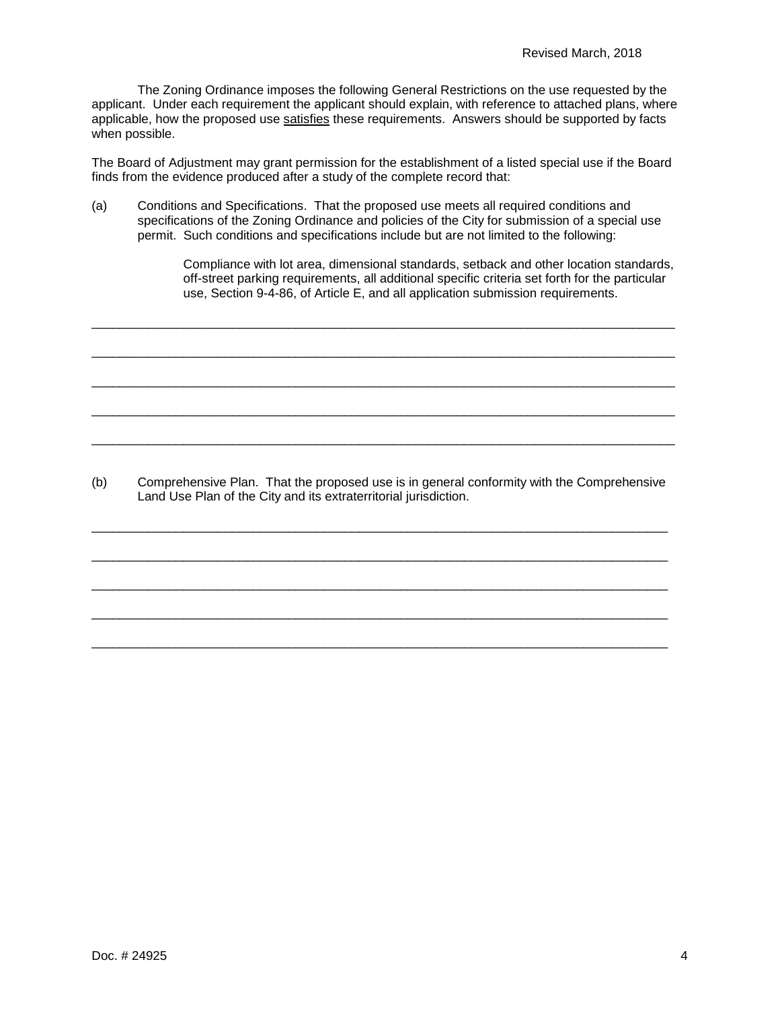The Zoning Ordinance imposes the following General Restrictions on the use requested by the applicant. Under each requirement the applicant should explain, with reference to attached plans, where applicable, how the proposed use satisfies these requirements. Answers should be supported by facts when possible.

The Board of Adjustment may grant permission for the establishment of a listed special use if the Board finds from the evidence produced after a study of the complete record that:

(a) Conditions and Specifications. That the proposed use meets all required conditions and specifications of the Zoning Ordinance and policies of the City for submission of a special use permit. Such conditions and specifications include but are not limited to the following:

\_\_\_\_\_\_\_\_\_\_\_\_\_\_\_\_\_\_\_\_\_\_\_\_\_\_\_\_\_\_\_\_\_\_\_\_\_\_\_\_\_\_\_\_\_\_\_\_\_\_\_\_\_\_\_\_\_\_\_\_\_\_\_\_\_\_\_\_\_\_\_\_\_\_\_\_\_\_\_\_\_\_\_

\_\_\_\_\_\_\_\_\_\_\_\_\_\_\_\_\_\_\_\_\_\_\_\_\_\_\_\_\_\_\_\_\_\_\_\_\_\_\_\_\_\_\_\_\_\_\_\_\_\_\_\_\_\_\_\_\_\_\_\_\_\_\_\_\_\_\_\_\_\_\_\_\_\_\_\_\_\_\_\_\_\_\_

\_\_\_\_\_\_\_\_\_\_\_\_\_\_\_\_\_\_\_\_\_\_\_\_\_\_\_\_\_\_\_\_\_\_\_\_\_\_\_\_\_\_\_\_\_\_\_\_\_\_\_\_\_\_\_\_\_\_\_\_\_\_\_\_\_\_\_\_\_\_\_\_\_\_\_\_\_\_\_\_\_\_\_

\_\_\_\_\_\_\_\_\_\_\_\_\_\_\_\_\_\_\_\_\_\_\_\_\_\_\_\_\_\_\_\_\_\_\_\_\_\_\_\_\_\_\_\_\_\_\_\_\_\_\_\_\_\_\_\_\_\_\_\_\_\_\_\_\_\_\_\_\_\_\_\_\_\_\_\_\_\_\_\_\_\_\_

\_\_\_\_\_\_\_\_\_\_\_\_\_\_\_\_\_\_\_\_\_\_\_\_\_\_\_\_\_\_\_\_\_\_\_\_\_\_\_\_\_\_\_\_\_\_\_\_\_\_\_\_\_\_\_\_\_\_\_\_\_\_\_\_\_\_\_\_\_\_\_\_\_\_\_\_\_\_\_\_\_\_\_

Compliance with lot area, dimensional standards, setback and other location standards, off-street parking requirements, all additional specific criteria set forth for the particular use, Section 9-4-86, of Article E, and all application submission requirements.

(b) Comprehensive Plan. That the proposed use is in general conformity with the Comprehensive Land Use Plan of the City and its extraterritorial jurisdiction.

\_\_\_\_\_\_\_\_\_\_\_\_\_\_\_\_\_\_\_\_\_\_\_\_\_\_\_\_\_\_\_\_\_\_\_\_\_\_\_\_\_\_\_\_\_\_\_\_\_\_\_\_\_\_\_\_\_\_\_\_\_\_\_\_\_\_\_\_\_\_\_\_\_\_\_\_\_\_\_\_\_\_

\_\_\_\_\_\_\_\_\_\_\_\_\_\_\_\_\_\_\_\_\_\_\_\_\_\_\_\_\_\_\_\_\_\_\_\_\_\_\_\_\_\_\_\_\_\_\_\_\_\_\_\_\_\_\_\_\_\_\_\_\_\_\_\_\_\_\_\_\_\_\_\_\_\_\_\_\_\_\_\_\_\_

\_\_\_\_\_\_\_\_\_\_\_\_\_\_\_\_\_\_\_\_\_\_\_\_\_\_\_\_\_\_\_\_\_\_\_\_\_\_\_\_\_\_\_\_\_\_\_\_\_\_\_\_\_\_\_\_\_\_\_\_\_\_\_\_\_\_\_\_\_\_\_\_\_\_\_\_\_\_\_\_\_\_

\_\_\_\_\_\_\_\_\_\_\_\_\_\_\_\_\_\_\_\_\_\_\_\_\_\_\_\_\_\_\_\_\_\_\_\_\_\_\_\_\_\_\_\_\_\_\_\_\_\_\_\_\_\_\_\_\_\_\_\_\_\_\_\_\_\_\_\_\_\_\_\_\_\_\_\_\_\_\_\_\_\_

\_\_\_\_\_\_\_\_\_\_\_\_\_\_\_\_\_\_\_\_\_\_\_\_\_\_\_\_\_\_\_\_\_\_\_\_\_\_\_\_\_\_\_\_\_\_\_\_\_\_\_\_\_\_\_\_\_\_\_\_\_\_\_\_\_\_\_\_\_\_\_\_\_\_\_\_\_\_\_\_\_\_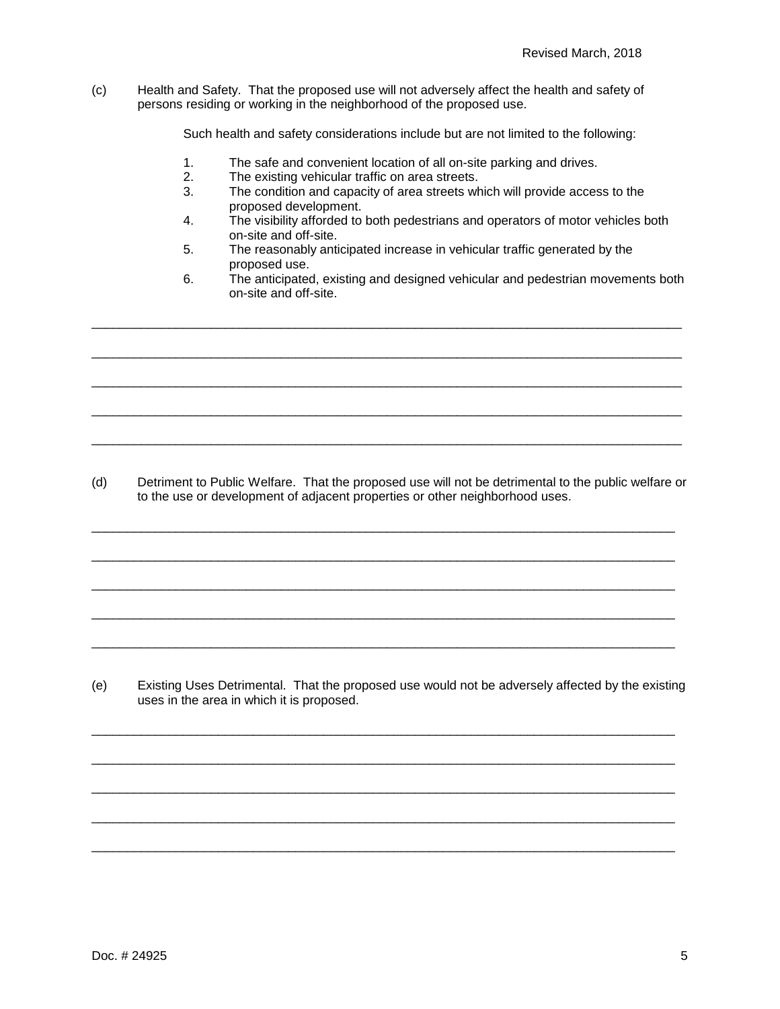(c) Health and Safety. That the proposed use will not adversely affect the health and safety of persons residing or working in the neighborhood of the proposed use.

Such health and safety considerations include but are not limited to the following:

- 1. The safe and convenient location of all on-site parking and drives.
- 2. The existing vehicular traffic on area streets.<br>3. The condition and capacity of area streets wh
- The condition and capacity of area streets which will provide access to the proposed development.
- 4. The visibility afforded to both pedestrians and operators of motor vehicles both on-site and off-site.
- 5. The reasonably anticipated increase in vehicular traffic generated by the proposed use.

\_\_\_\_\_\_\_\_\_\_\_\_\_\_\_\_\_\_\_\_\_\_\_\_\_\_\_\_\_\_\_\_\_\_\_\_\_\_\_\_\_\_\_\_\_\_\_\_\_\_\_\_\_\_\_\_\_\_\_\_\_\_\_\_\_\_\_\_\_\_\_\_\_\_\_\_\_\_\_\_\_\_\_\_

\_\_\_\_\_\_\_\_\_\_\_\_\_\_\_\_\_\_\_\_\_\_\_\_\_\_\_\_\_\_\_\_\_\_\_\_\_\_\_\_\_\_\_\_\_\_\_\_\_\_\_\_\_\_\_\_\_\_\_\_\_\_\_\_\_\_\_\_\_\_\_\_\_\_\_\_\_\_\_\_\_\_\_\_

\_\_\_\_\_\_\_\_\_\_\_\_\_\_\_\_\_\_\_\_\_\_\_\_\_\_\_\_\_\_\_\_\_\_\_\_\_\_\_\_\_\_\_\_\_\_\_\_\_\_\_\_\_\_\_\_\_\_\_\_\_\_\_\_\_\_\_\_\_\_\_\_\_\_\_\_\_\_\_\_\_\_\_\_

\_\_\_\_\_\_\_\_\_\_\_\_\_\_\_\_\_\_\_\_\_\_\_\_\_\_\_\_\_\_\_\_\_\_\_\_\_\_\_\_\_\_\_\_\_\_\_\_\_\_\_\_\_\_\_\_\_\_\_\_\_\_\_\_\_\_\_\_\_\_\_\_\_\_\_\_\_\_\_\_\_\_\_\_

\_\_\_\_\_\_\_\_\_\_\_\_\_\_\_\_\_\_\_\_\_\_\_\_\_\_\_\_\_\_\_\_\_\_\_\_\_\_\_\_\_\_\_\_\_\_\_\_\_\_\_\_\_\_\_\_\_\_\_\_\_\_\_\_\_\_\_\_\_\_\_\_\_\_\_\_\_\_\_\_\_\_\_\_

6. The anticipated, existing and designed vehicular and pedestrian movements both on-site and off-site.

(d) Detriment to Public Welfare. That the proposed use will not be detrimental to the public welfare or to the use or development of adjacent properties or other neighborhood uses.

\_\_\_\_\_\_\_\_\_\_\_\_\_\_\_\_\_\_\_\_\_\_\_\_\_\_\_\_\_\_\_\_\_\_\_\_\_\_\_\_\_\_\_\_\_\_\_\_\_\_\_\_\_\_\_\_\_\_\_\_\_\_\_\_\_\_\_\_\_\_\_\_\_\_\_\_\_\_\_\_\_\_\_

\_\_\_\_\_\_\_\_\_\_\_\_\_\_\_\_\_\_\_\_\_\_\_\_\_\_\_\_\_\_\_\_\_\_\_\_\_\_\_\_\_\_\_\_\_\_\_\_\_\_\_\_\_\_\_\_\_\_\_\_\_\_\_\_\_\_\_\_\_\_\_\_\_\_\_\_\_\_\_\_\_\_\_

\_\_\_\_\_\_\_\_\_\_\_\_\_\_\_\_\_\_\_\_\_\_\_\_\_\_\_\_\_\_\_\_\_\_\_\_\_\_\_\_\_\_\_\_\_\_\_\_\_\_\_\_\_\_\_\_\_\_\_\_\_\_\_\_\_\_\_\_\_\_\_\_\_\_\_\_\_\_\_\_\_\_\_

\_\_\_\_\_\_\_\_\_\_\_\_\_\_\_\_\_\_\_\_\_\_\_\_\_\_\_\_\_\_\_\_\_\_\_\_\_\_\_\_\_\_\_\_\_\_\_\_\_\_\_\_\_\_\_\_\_\_\_\_\_\_\_\_\_\_\_\_\_\_\_\_\_\_\_\_\_\_\_\_\_\_\_

\_\_\_\_\_\_\_\_\_\_\_\_\_\_\_\_\_\_\_\_\_\_\_\_\_\_\_\_\_\_\_\_\_\_\_\_\_\_\_\_\_\_\_\_\_\_\_\_\_\_\_\_\_\_\_\_\_\_\_\_\_\_\_\_\_\_\_\_\_\_\_\_\_\_\_\_\_\_\_\_\_\_\_

(e) Existing Uses Detrimental. That the proposed use would not be adversely affected by the existing uses in the area in which it is proposed.

\_\_\_\_\_\_\_\_\_\_\_\_\_\_\_\_\_\_\_\_\_\_\_\_\_\_\_\_\_\_\_\_\_\_\_\_\_\_\_\_\_\_\_\_\_\_\_\_\_\_\_\_\_\_\_\_\_\_\_\_\_\_\_\_\_\_\_\_\_\_\_\_\_\_\_\_\_\_\_\_\_\_\_

\_\_\_\_\_\_\_\_\_\_\_\_\_\_\_\_\_\_\_\_\_\_\_\_\_\_\_\_\_\_\_\_\_\_\_\_\_\_\_\_\_\_\_\_\_\_\_\_\_\_\_\_\_\_\_\_\_\_\_\_\_\_\_\_\_\_\_\_\_\_\_\_\_\_\_\_\_\_\_\_\_\_\_

\_\_\_\_\_\_\_\_\_\_\_\_\_\_\_\_\_\_\_\_\_\_\_\_\_\_\_\_\_\_\_\_\_\_\_\_\_\_\_\_\_\_\_\_\_\_\_\_\_\_\_\_\_\_\_\_\_\_\_\_\_\_\_\_\_\_\_\_\_\_\_\_\_\_\_\_\_\_\_\_\_\_\_

\_\_\_\_\_\_\_\_\_\_\_\_\_\_\_\_\_\_\_\_\_\_\_\_\_\_\_\_\_\_\_\_\_\_\_\_\_\_\_\_\_\_\_\_\_\_\_\_\_\_\_\_\_\_\_\_\_\_\_\_\_\_\_\_\_\_\_\_\_\_\_\_\_\_\_\_\_\_\_\_\_\_\_

\_\_\_\_\_\_\_\_\_\_\_\_\_\_\_\_\_\_\_\_\_\_\_\_\_\_\_\_\_\_\_\_\_\_\_\_\_\_\_\_\_\_\_\_\_\_\_\_\_\_\_\_\_\_\_\_\_\_\_\_\_\_\_\_\_\_\_\_\_\_\_\_\_\_\_\_\_\_\_\_\_\_\_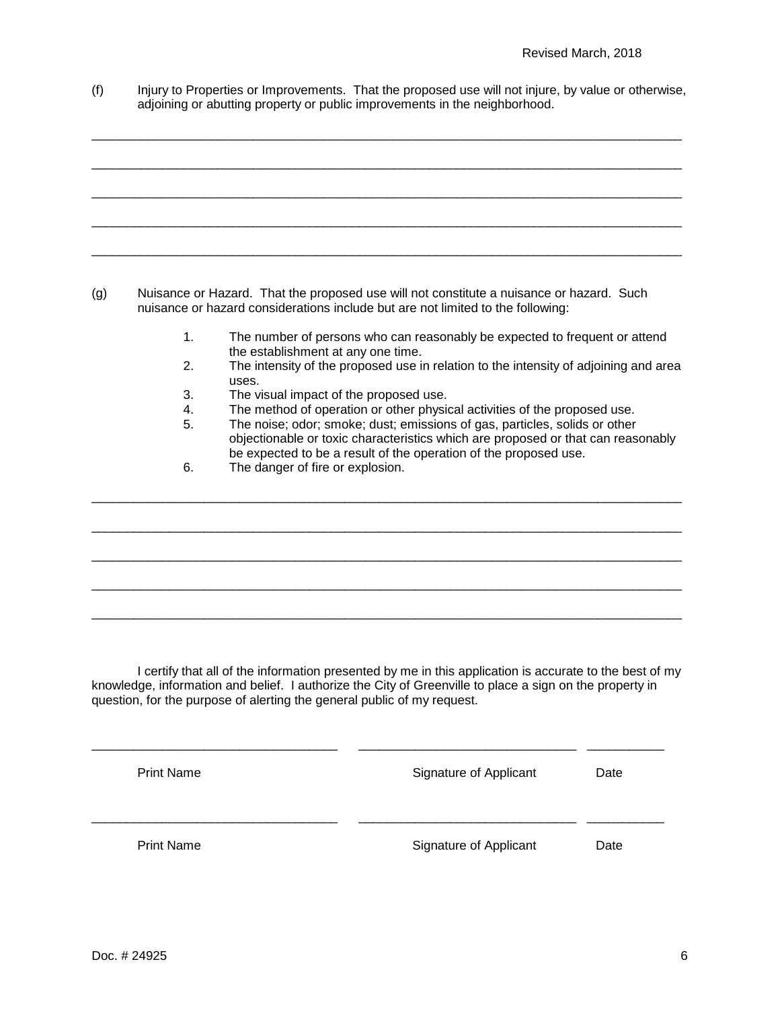(f) Injury to Properties or Improvements. That the proposed use will not injure, by value or otherwise, adjoining or abutting property or public improvements in the neighborhood.

\_\_\_\_\_\_\_\_\_\_\_\_\_\_\_\_\_\_\_\_\_\_\_\_\_\_\_\_\_\_\_\_\_\_\_\_\_\_\_\_\_\_\_\_\_\_\_\_\_\_\_\_\_\_\_\_\_\_\_\_\_\_\_\_\_\_\_\_\_\_\_\_\_\_\_\_\_\_\_\_\_\_\_\_

\_\_\_\_\_\_\_\_\_\_\_\_\_\_\_\_\_\_\_\_\_\_\_\_\_\_\_\_\_\_\_\_\_\_\_\_\_\_\_\_\_\_\_\_\_\_\_\_\_\_\_\_\_\_\_\_\_\_\_\_\_\_\_\_\_\_\_\_\_\_\_\_\_\_\_\_\_\_\_\_\_\_\_\_

\_\_\_\_\_\_\_\_\_\_\_\_\_\_\_\_\_\_\_\_\_\_\_\_\_\_\_\_\_\_\_\_\_\_\_\_\_\_\_\_\_\_\_\_\_\_\_\_\_\_\_\_\_\_\_\_\_\_\_\_\_\_\_\_\_\_\_\_\_\_\_\_\_\_\_\_\_\_\_\_\_\_\_\_

\_\_\_\_\_\_\_\_\_\_\_\_\_\_\_\_\_\_\_\_\_\_\_\_\_\_\_\_\_\_\_\_\_\_\_\_\_\_\_\_\_\_\_\_\_\_\_\_\_\_\_\_\_\_\_\_\_\_\_\_\_\_\_\_\_\_\_\_\_\_\_\_\_\_\_\_\_\_\_\_\_\_\_\_

\_\_\_\_\_\_\_\_\_\_\_\_\_\_\_\_\_\_\_\_\_\_\_\_\_\_\_\_\_\_\_\_\_\_\_\_\_\_\_\_\_\_\_\_\_\_\_\_\_\_\_\_\_\_\_\_\_\_\_\_\_\_\_\_\_\_\_\_\_\_\_\_\_\_\_\_\_\_\_\_\_\_\_\_

(g) Nuisance or Hazard. That the proposed use will not constitute a nuisance or hazard. Such nuisance or hazard considerations include but are not limited to the following:

- 1. The number of persons who can reasonably be expected to frequent or attend the establishment at any one time.
- 2. The intensity of the proposed use in relation to the intensity of adjoining and area uses.
- 3. The visual impact of the proposed use.<br>4. The method of operation or other physic
- 4. The method of operation or other physical activities of the proposed use.<br>5. The noise: odor: smoke: dust: emissions of gas. particles. solids or other

\_\_\_\_\_\_\_\_\_\_\_\_\_\_\_\_\_\_\_\_\_\_\_\_\_\_\_\_\_\_\_\_\_\_\_\_\_\_\_\_\_\_\_\_\_\_\_\_\_\_\_\_\_\_\_\_\_\_\_\_\_\_\_\_\_\_\_\_\_\_\_\_\_\_\_\_\_\_\_\_\_\_\_\_

\_\_\_\_\_\_\_\_\_\_\_\_\_\_\_\_\_\_\_\_\_\_\_\_\_\_\_\_\_\_\_\_\_\_\_\_\_\_\_\_\_\_\_\_\_\_\_\_\_\_\_\_\_\_\_\_\_\_\_\_\_\_\_\_\_\_\_\_\_\_\_\_\_\_\_\_\_\_\_\_\_\_\_\_

\_\_\_\_\_\_\_\_\_\_\_\_\_\_\_\_\_\_\_\_\_\_\_\_\_\_\_\_\_\_\_\_\_\_\_\_\_\_\_\_\_\_\_\_\_\_\_\_\_\_\_\_\_\_\_\_\_\_\_\_\_\_\_\_\_\_\_\_\_\_\_\_\_\_\_\_\_\_\_\_\_\_\_\_

\_\_\_\_\_\_\_\_\_\_\_\_\_\_\_\_\_\_\_\_\_\_\_\_\_\_\_\_\_\_\_\_\_\_\_\_\_\_\_\_\_\_\_\_\_\_\_\_\_\_\_\_\_\_\_\_\_\_\_\_\_\_\_\_\_\_\_\_\_\_\_\_\_\_\_\_\_\_\_\_\_\_\_\_

\_\_\_\_\_\_\_\_\_\_\_\_\_\_\_\_\_\_\_\_\_\_\_\_\_\_\_\_\_\_\_\_\_\_\_\_\_\_\_\_\_\_\_\_\_\_\_\_\_\_\_\_\_\_\_\_\_\_\_\_\_\_\_\_\_\_\_\_\_\_\_\_\_\_\_\_\_\_\_\_\_\_\_\_

- The noise; odor; smoke; dust; emissions of gas, particles, solids or other objectionable or toxic characteristics which are proposed or that can reasonably be expected to be a result of the operation of the proposed use.
- 6. The danger of fire or explosion.

I certify that all of the information presented by me in this application is accurate to the best of my knowledge, information and belief. I authorize the City of Greenville to place a sign on the property in question, for the purpose of alerting the general public of my request.

| <b>Print Name</b> | Signature of Applicant | Date |
|-------------------|------------------------|------|
| <b>Print Name</b> | Signature of Applicant | Date |